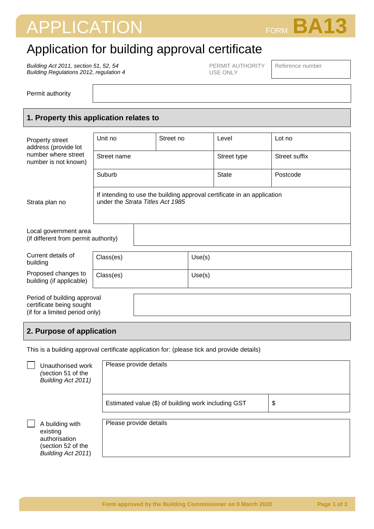# APPLICATION FORM **BA13**



# Application for building approval certificate

*Building Act 2011, section 51, 52, 54 Building Regulations 2012, regulation 4* PERMIT AUTHORITY USE ONLY

Reference number

Permit authority

## **1. Property this application relates to**

| Property street<br>address (provide lot                       | Unit no                                                                                                     | Street no | Level        | Lot no        |  |
|---------------------------------------------------------------|-------------------------------------------------------------------------------------------------------------|-----------|--------------|---------------|--|
| number where street<br>number is not known)                   | Street name                                                                                                 |           | Street type  | Street suffix |  |
|                                                               | Suburb                                                                                                      |           | <b>State</b> | Postcode      |  |
| Strata plan no                                                | If intending to use the building approval certificate in an application<br>under the Strata Titles Act 1985 |           |              |               |  |
| Local government area<br>(if different from permit authority) |                                                                                                             |           |              |               |  |

| Current details of<br>building                  | Class(es) | Use(s) |
|-------------------------------------------------|-----------|--------|
| Proposed changes to<br>building (if applicable) | Class(es) | Use(s) |

| Period of building approval    |  |  |
|--------------------------------|--|--|
| certificate being sought       |  |  |
| (if for a limited period only) |  |  |

### **2. Purpose of application**

This is a building approval certificate application for: (please tick and provide details)

| Unauthorised work<br>(section 51 of the<br>Building Act 2011)                            | Please provide details                              |    |
|------------------------------------------------------------------------------------------|-----------------------------------------------------|----|
|                                                                                          | Estimated value (\$) of building work including GST | \$ |
| A building with<br>existing<br>authorisation<br>(section 52 of the<br>Building Act 2011) | Please provide details                              |    |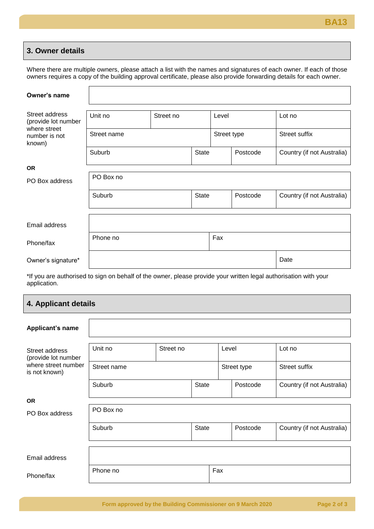#### **3. Owner details**

| Where there are multiple owners, please attach a list with the names and signatures of each owner. If each of those |  |  |  |
|---------------------------------------------------------------------------------------------------------------------|--|--|--|
| owners requires a copy of the building approval certificate, please also provide forwarding details for each owner. |  |  |  |

| Owner's name                            |                      |       |              |             |          |                            |
|-----------------------------------------|----------------------|-------|--------------|-------------|----------|----------------------------|
| Street address<br>(provide lot number   | Unit no<br>Street no |       |              | Level       |          | Lot no                     |
| where street<br>number is not<br>known) | Street name          |       |              | Street type |          | <b>Street suffix</b>       |
|                                         | Suburb               | State |              |             | Postcode | Country (if not Australia) |
| <b>OR</b>                               |                      |       |              |             |          |                            |
| PO Box address                          | PO Box no            |       |              |             |          |                            |
|                                         | Suburb               |       | <b>State</b> |             | Postcode | Country (if not Australia) |
| Email address                           |                      |       |              |             |          |                            |
| Phone/fax                               | Phone no             |       |              | Fax         |          |                            |
| Owner's signature*                      |                      |       |              |             |          | Date                       |

\*If you are authorised to sign on behalf of the owner, please provide your written legal authorisation with your application.

# **4. Applicant details**

 $\Gamma$ 

| Applicant's name                      |                      |              |              |             |                      |                            |
|---------------------------------------|----------------------|--------------|--------------|-------------|----------------------|----------------------------|
| Street address<br>(provide lot number | Unit no<br>Street no |              |              | Level       |                      | Lot no                     |
| where street number<br>is not known)  | Street name          |              |              | Street type | <b>Street suffix</b> |                            |
|                                       | Suburb               | <b>State</b> |              |             | Postcode             | Country (if not Australia) |
| <b>OR</b>                             |                      |              |              |             |                      |                            |
| PO Box address                        | PO Box no            |              |              |             |                      |                            |
|                                       | Suburb               |              | <b>State</b> |             | Postcode             | Country (if not Australia) |
|                                       |                      |              |              |             |                      |                            |
| Email address                         |                      |              |              |             |                      |                            |
| Phone/fax                             | Phone no             |              |              | Fax         |                      |                            |